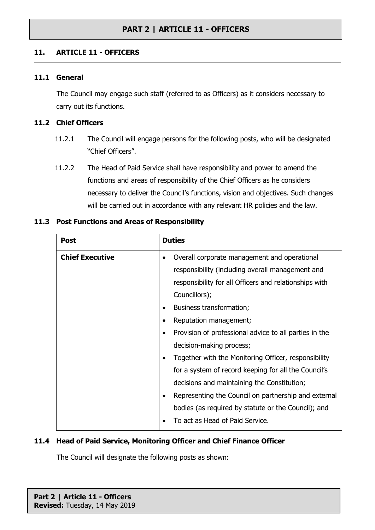#### **11. ARTICLE 11 - OFFICERS**

#### **11.1 General**

The Council may engage such staff (referred to as Officers) as it considers necessary to carry out its functions.

#### **11.2 Chief Officers**

- 11.2.1 The Council will engage persons for the following posts, who will be designated "Chief Officers".
- 11.2.2 The Head of Paid Service shall have responsibility and power to amend the functions and areas of responsibility of the Chief Officers as he considers necessary to deliver the Council's functions, vision and objectives. Such changes will be carried out in accordance with any relevant HR policies and the law.

| <b>Chief Executive</b><br>Overall corporate management and operational<br>$\bullet$<br>responsibility (including overall management and                                                                                                                                                                                                                                                                                                                                                                                                                                                  | <b>Post</b> |
|------------------------------------------------------------------------------------------------------------------------------------------------------------------------------------------------------------------------------------------------------------------------------------------------------------------------------------------------------------------------------------------------------------------------------------------------------------------------------------------------------------------------------------------------------------------------------------------|-------------|
| responsibility for all Officers and relationships with<br>Councillors);<br>Business transformation;<br>$\bullet$<br>Reputation management;<br>Provision of professional advice to all parties in the<br>$\bullet$<br>decision-making process;<br>Together with the Monitoring Officer, responsibility<br>$\bullet$<br>for a system of record keeping for all the Council's<br>decisions and maintaining the Constitution;<br>Representing the Council on partnership and external<br>$\bullet$<br>bodies (as required by statute or the Council); and<br>To act as Head of Paid Service. |             |

#### **11.3 Post Functions and Areas of Responsibility**

#### **11.4 Head of Paid Service, Monitoring Officer and Chief Finance Officer**

The Council will designate the following posts as shown: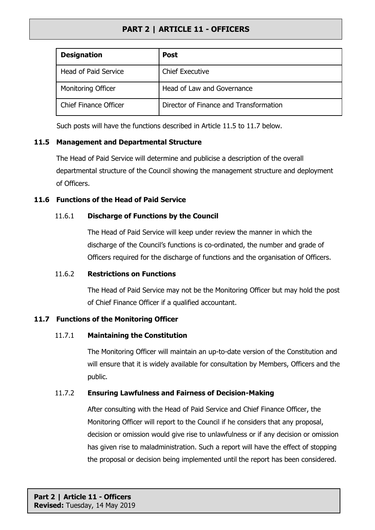| <b>Designation</b>          | <b>Post</b>                            |
|-----------------------------|----------------------------------------|
| <b>Head of Paid Service</b> | <b>Chief Executive</b>                 |
| <b>Monitoring Officer</b>   | Head of Law and Governance             |
| Chief Finance Officer       | Director of Finance and Transformation |

Such posts will have the functions described in Article 11.5 to 11.7 below.

### **11.5 Management and Departmental Structure**

The Head of Paid Service will determine and publicise a description of the overall departmental structure of the Council showing the management structure and deployment of Officers.

#### **11.6 Functions of the Head of Paid Service**

## 11.6.1 **Discharge of Functions by the Council**

The Head of Paid Service will keep under review the manner in which the discharge of the Council's functions is co-ordinated, the number and grade of Officers required for the discharge of functions and the organisation of Officers.

#### 11.6.2 **Restrictions on Functions**

The Head of Paid Service may not be the Monitoring Officer but may hold the post of Chief Finance Officer if a qualified accountant.

## **11.7 Functions of the Monitoring Officer**

## 11.7.1 **Maintaining the Constitution**

The Monitoring Officer will maintain an up-to-date version of the Constitution and will ensure that it is widely available for consultation by Members, Officers and the public.

## 11.7.2 **Ensuring Lawfulness and Fairness of Decision-Making**

After consulting with the Head of Paid Service and Chief Finance Officer, the Monitoring Officer will report to the Council if he considers that any proposal, decision or omission would give rise to unlawfulness or if any decision or omission has given rise to maladministration. Such a report will have the effect of stopping the proposal or decision being implemented until the report has been considered.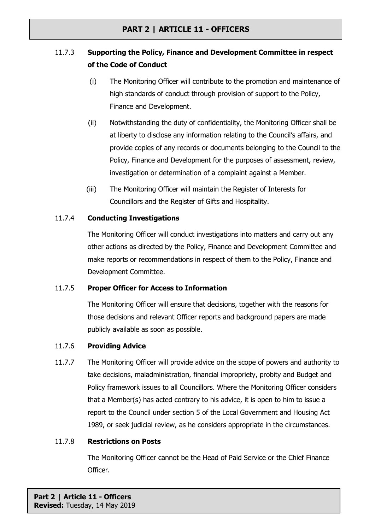# 11.7.3 **Supporting the Policy, Finance and Development Committee in respect of the Code of Conduct**

- (i) The Monitoring Officer will contribute to the promotion and maintenance of high standards of conduct through provision of support to the Policy, Finance and Development.
- (ii) Notwithstanding the duty of confidentiality, the Monitoring Officer shall be at liberty to disclose any information relating to the Council's affairs, and provide copies of any records or documents belonging to the Council to the Policy, Finance and Development for the purposes of assessment, review, investigation or determination of a complaint against a Member.
- (iii) The Monitoring Officer will maintain the Register of Interests for Councillors and the Register of Gifts and Hospitality.

### 11.7.4 **Conducting Investigations**

The Monitoring Officer will conduct investigations into matters and carry out any other actions as directed by the Policy, Finance and Development Committee and make reports or recommendations in respect of them to the Policy, Finance and Development Committee.

#### 11.7.5 **Proper Officer for Access to Information**

The Monitoring Officer will ensure that decisions, together with the reasons for those decisions and relevant Officer reports and background papers are made publicly available as soon as possible.

#### 11.7.6 **Providing Advice**

11.7.7 The Monitoring Officer will provide advice on the scope of powers and authority to take decisions, maladministration, financial impropriety, probity and Budget and Policy framework issues to all Councillors. Where the Monitoring Officer considers that a Member(s) has acted contrary to his advice, it is open to him to issue a report to the Council under section 5 of the Local Government and Housing Act 1989, or seek judicial review, as he considers appropriate in the circumstances.

#### 11.7.8 **Restrictions on Posts**

The Monitoring Officer cannot be the Head of Paid Service or the Chief Finance Officer.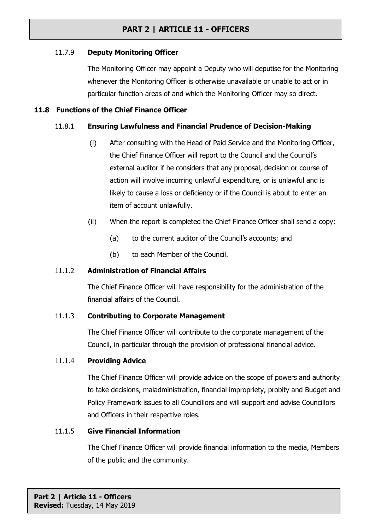#### 11.7.9 **Deputy Monitoring Officer**

The Monitoring Officer may appoint a Deputy who will deputise for the Monitoring whenever the Monitoring Officer is otherwise unavailable or unable to act or in particular function areas of and which the Monitoring Officer may so direct.

#### **11.8 Functions of the Chief Finance Officer**

### 11.8.1 **Ensuring Lawfulness and Financial Prudence of Decision-Making**

- (i) After consulting with the Head of Paid Service and the Monitoring Officer, the Chief Finance Officer will report to the Council and the Council's external auditor if he considers that any proposal, decision or course of action will involve incurring unlawful expenditure, or is unlawful and is likely to cause a loss or deficiency or if the Council is about to enter an item of account unlawfully.
- (ii) When the report is completed the Chief Finance Officer shall send a copy:
	- (a) to the current auditor of the Council's accounts; and
	- (b) to each Member of the Council.

## 11.1.2 **Administration of Financial Affairs**

The Chief Finance Officer will have responsibility for the administration of the financial affairs of the Council.

#### 11.1.3 **Contributing to Corporate Management**

The Chief Finance Officer will contribute to the corporate management of the Council, in particular through the provision of professional financial advice.

#### 11.1.4 **Providing Advice**

The Chief Finance Officer will provide advice on the scope of powers and authority to take decisions, maladministration, financial impropriety, probity and Budget and Policy Framework issues to all Councillors and will support and advise Councillors and Officers in their respective roles.

#### 11.1.5 **Give Financial Information**

The Chief Finance Officer will provide financial information to the media, Members of the public and the community.